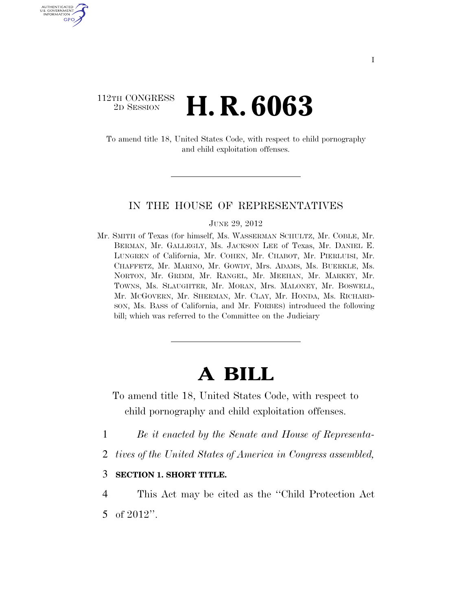## 112TH CONGRESS <sup>2D SESSION</sup> **H. R. 6063**

AUTHENTICATED U.S. GOVERNMENT GPO

> To amend title 18, United States Code, with respect to child pornography and child exploitation offenses.

### IN THE HOUSE OF REPRESENTATIVES

#### JUNE 29, 2012

Mr. SMITH of Texas (for himself, Ms. WASSERMAN SCHULTZ, Mr. COBLE, Mr. BERMAN, Mr. GALLEGLY, Ms. JACKSON LEE of Texas, Mr. DANIEL E. LUNGREN of California, Mr. COHEN, Mr. CHABOT, Mr. PIERLUISI, Mr. CHAFFETZ, Mr. MARINO, Mr. GOWDY, Mrs. ADAMS, Ms. BUERKLE, Ms. NORTON, Mr. GRIMM, Mr. RANGEL, Mr. MEEHAN, Mr. MARKEY, Mr. TOWNS, Ms. SLAUGHTER, Mr. MORAN, Mrs. MALONEY, Mr. BOSWELL, Mr. MCGOVERN, Mr. SHERMAN, Mr. CLAY, Mr. HONDA, Ms. RICHARD-SON, Ms. BASS of California, and Mr. FORBES) introduced the following bill; which was referred to the Committee on the Judiciary

# **A BILL**

- To amend title 18, United States Code, with respect to child pornography and child exploitation offenses.
- 1 *Be it enacted by the Senate and House of Representa-*
- 2 *tives of the United States of America in Congress assembled,*

## 3 **SECTION 1. SHORT TITLE.**

4 This Act may be cited as the ''Child Protection Act 5 of 2012''.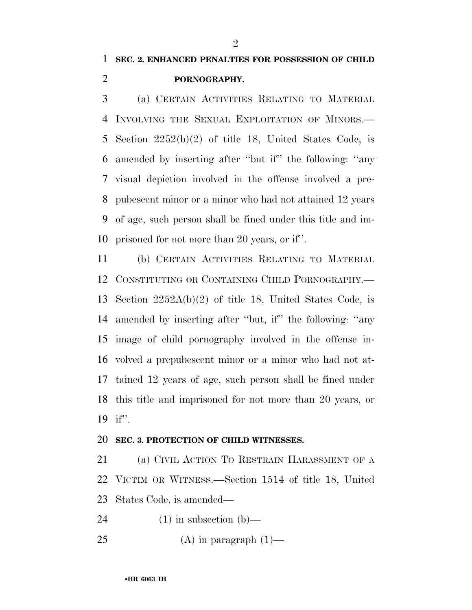## **PORNOGRAPHY.**

 (a) CERTAIN ACTIVITIES RELATING TO MATERIAL INVOLVING THE SEXUAL EXPLOITATION OF MINORS.— Section 2252(b)(2) of title 18, United States Code, is amended by inserting after ''but if'' the following: ''any visual depiction involved in the offense involved a pre- pubescent minor or a minor who had not attained 12 years of age, such person shall be fined under this title and im-prisoned for not more than 20 years, or if''.

 (b) CERTAIN ACTIVITIES RELATING TO MATERIAL CONSTITUTING OR CONTAINING CHILD PORNOGRAPHY.— Section 2252A(b)(2) of title 18, United States Code, is amended by inserting after ''but, if'' the following: ''any image of child pornography involved in the offense in- volved a prepubescent minor or a minor who had not at- tained 12 years of age, such person shall be fined under this title and imprisoned for not more than 20 years, or if''.

### **SEC. 3. PROTECTION OF CHILD WITNESSES.**

 (a) CIVIL ACTION TO RESTRAIN HARASSMENT OF A VICTIM OR WITNESS.—Section 1514 of title 18, United States Code, is amended—

24  $(1)$  in subsection  $(b)$ —

25 (A) in paragraph  $(1)$ —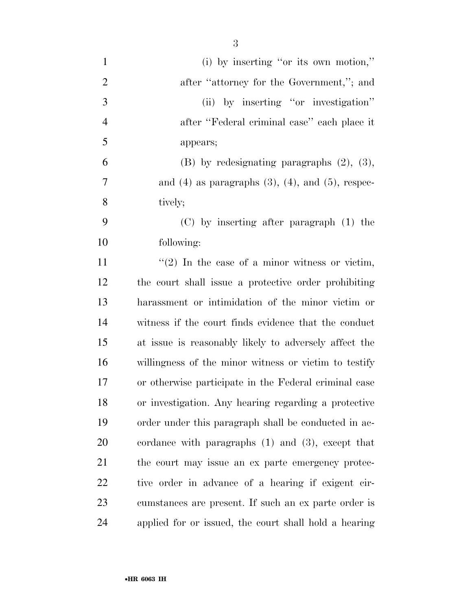| $\mathbf{1}$   | (i) by inserting "or its own motion,"                       |
|----------------|-------------------------------------------------------------|
| $\overline{2}$ | after "attorney for the Government,"; and                   |
| 3              | (ii) by inserting "or investigation"                        |
| $\overline{4}$ | after "Federal criminal case" each place it                 |
| 5              | appears;                                                    |
| 6              | $(B)$ by redesignating paragraphs $(2)$ , $(3)$ ,           |
| $\overline{7}$ | and $(4)$ as paragraphs $(3)$ , $(4)$ , and $(5)$ , respec- |
| 8              | tively;                                                     |
| 9              | $(C)$ by inserting after paragraph $(1)$ the                |
| 10             | following:                                                  |
| 11             | $\lq(2)$ In the case of a minor witness or victim,          |
| 12             | the court shall issue a protective order prohibiting        |
| 13             | harassment or intimidation of the minor victim or           |
| 14             | witness if the court finds evidence that the conduct        |
| 15             | at issue is reasonably likely to adversely affect the       |
| 16             | willingness of the minor witness or victim to testify       |
| 17             | or otherwise participate in the Federal criminal case       |
| 18             | or investigation. Any hearing regarding a protective        |
| 19             | order under this paragraph shall be conducted in ac-        |
| 20             | cordance with paragraphs $(1)$ and $(3)$ , except that      |
| 21             | the court may issue an ex parte emergency protec-           |
| 22             | tive order in advance of a hearing if exigent cir-          |
| 23             | cumstances are present. If such an ex parte order is        |
| 24             | applied for or issued, the court shall hold a hearing       |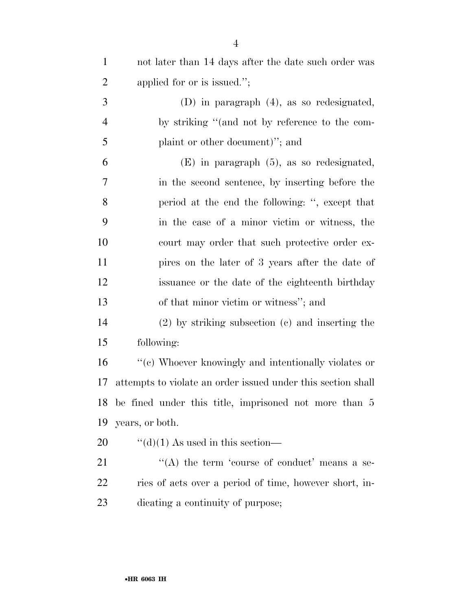| $\mathbf{1}$   | not later than 14 days after the date such order was         |
|----------------|--------------------------------------------------------------|
| $\overline{2}$ | applied for or is issued.";                                  |
| 3              | $(D)$ in paragraph $(4)$ , as so redesignated,               |
| $\overline{4}$ | by striking "(and not by reference to the com-               |
| 5              | plaint or other document)"; and                              |
| 6              | $(E)$ in paragraph $(5)$ , as so redesignated,               |
| 7              | in the second sentence, by inserting before the              |
| 8              | period at the end the following: ", except that              |
| 9              | in the case of a minor victim or witness, the                |
| 10             | court may order that such protective order ex-               |
| 11             | pires on the later of 3 years after the date of              |
| 12             | issuance or the date of the eighteenth birthday              |
| 13             | of that minor victim or witness"; and                        |
| 14             | $(2)$ by striking subsection $(c)$ and inserting the         |
| 15             | following:                                                   |
| 16             | "(c) Whoever knowingly and intentionally violates or         |
| 17             | attempts to violate an order issued under this section shall |
|                | 18 be fined under this title, imprisoned not more than 5     |
| 19             | years, or both.                                              |
| 20             | $\lq\lq$ (d)(1) As used in this section—                     |
| 21             | "(A) the term 'course of conduct' means a se-                |
| 22             | ries of acts over a period of time, however short, in-       |
| 23             | dicating a continuity of purpose;                            |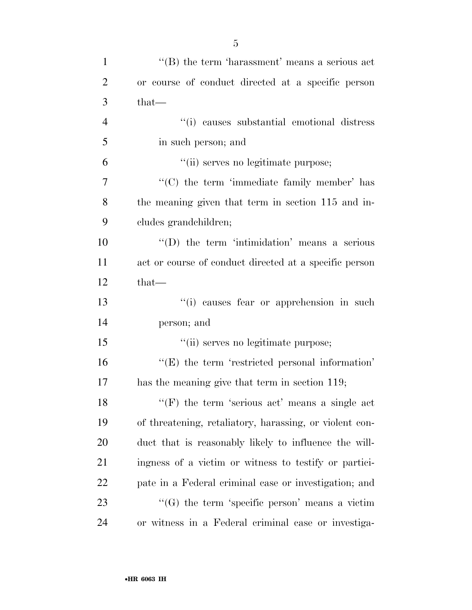| $\mathbf{1}$   | $\cdot$ (B) the term 'harassment' means a serious act   |
|----------------|---------------------------------------------------------|
| $\overline{2}$ | or course of conduct directed at a specific person      |
| 3              | that—                                                   |
| $\overline{4}$ | "(i) causes substantial emotional distress              |
| 5              | in such person; and                                     |
| 6              | "(ii) serves no legitimate purpose;                     |
| $\overline{7}$ | "(C) the term 'immediate family member' has             |
| 8              | the meaning given that term in section 115 and in-      |
| 9              | cludes grandchildren;                                   |
| 10             | "(D) the term 'intimidation' means a serious            |
| 11             | act or course of conduct directed at a specific person  |
| 12             | that—                                                   |
| 13             | "(i) causes fear or apprehension in such                |
| 14             | person; and                                             |
| 15             | "(ii) serves no legitimate purpose;                     |
| 16             | $\lq\lq(E)$ the term 'restricted personal information'  |
| 17             | has the meaning give that term in section 119;          |
| 18             | $f'(F)$ the term 'serious act' means a single act       |
| 19             | of threatening, retaliatory, harassing, or violent con- |
| 20             | duct that is reasonably likely to influence the will-   |
| 21             | ingness of a victim or witness to testify or partici-   |
| 22             | pate in a Federal criminal case or investigation; and   |
| 23             | " $(G)$ the term 'specific person' means a victim       |
| 24             | or witness in a Federal criminal case or investiga-     |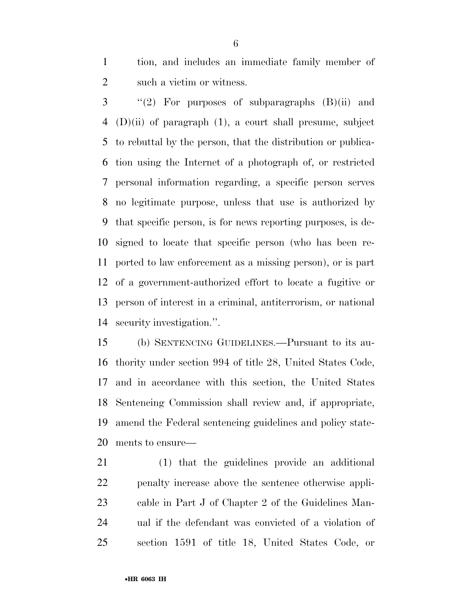tion, and includes an immediate family member of such a victim or witness.

 ''(2) For purposes of subparagraphs  $(B)(ii)$  and (D)(ii) of paragraph (1), a court shall presume, subject to rebuttal by the person, that the distribution or publica- tion using the Internet of a photograph of, or restricted personal information regarding, a specific person serves no legitimate purpose, unless that use is authorized by that specific person, is for news reporting purposes, is de- signed to locate that specific person (who has been re- ported to law enforcement as a missing person), or is part of a government-authorized effort to locate a fugitive or person of interest in a criminal, antiterrorism, or national security investigation.''.

 (b) SENTENCING GUIDELINES.—Pursuant to its au- thority under section 994 of title 28, United States Code, and in accordance with this section, the United States Sentencing Commission shall review and, if appropriate, amend the Federal sentencing guidelines and policy state-ments to ensure—

 (1) that the guidelines provide an additional penalty increase above the sentence otherwise appli- cable in Part J of Chapter 2 of the Guidelines Man- ual if the defendant was convicted of a violation of section 1591 of title 18, United States Code, or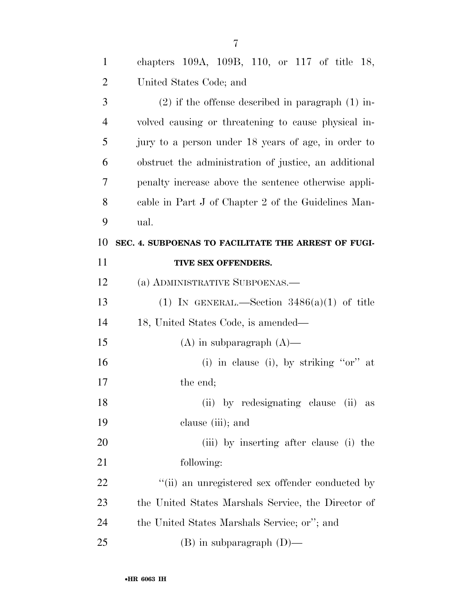| $\mathbf{1}$   | chapters 109A, 109B, 110, or 117 of title 18,         |
|----------------|-------------------------------------------------------|
| $\overline{2}$ | United States Code; and                               |
| 3              | $(2)$ if the offense described in paragraph $(1)$ in- |
| $\overline{4}$ | volved causing or threatening to cause physical in-   |
| 5              | jury to a person under 18 years of age, in order to   |
| 6              | obstruct the administration of justice, an additional |
| 7              | penalty increase above the sentence otherwise appli-  |
| 8              | cable in Part J of Chapter 2 of the Guidelines Man-   |
| 9              | ual.                                                  |
| 10             | SEC. 4. SUBPOENAS TO FACILITATE THE ARREST OF FUGI-   |
| 11             | TIVE SEX OFFENDERS.                                   |
| 12             | (a) ADMINISTRATIVE SUBPOENAS.-                        |
| 13             | (1) IN GENERAL.—Section $3486(a)(1)$ of title         |
| 14             | 18, United States Code, is amended—                   |
| 15             | $(A)$ in subparagraph $(A)$ —                         |
| 16             | (i) in clause (i), by striking " $or$ " at            |
| 17             | the end;                                              |
| 18             | (ii) by redesignating clause (ii) as                  |
| 19             | clause (iii); and                                     |
| 20             | (iii) by inserting after clause (i) the               |
| 21             | following:                                            |
| <u>22</u>      | "(ii) an unregistered sex offender conducted by       |
| 23             | the United States Marshals Service, the Director of   |
| 24             | the United States Marshals Service; or"; and          |
| 25             | $(B)$ in subparagraph $(D)$ —                         |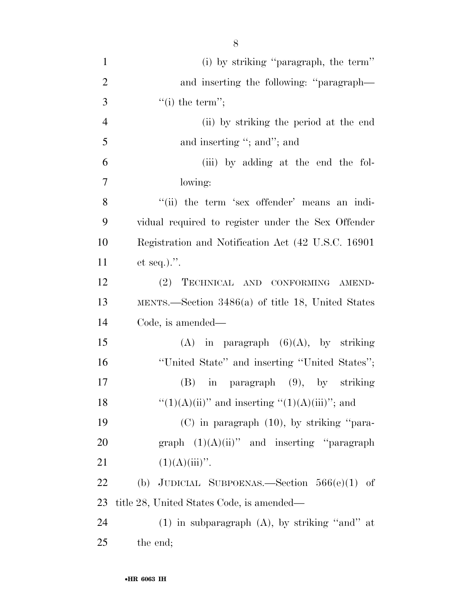| $\mathbf{1}$   | (i) by striking "paragraph, the term"                 |
|----------------|-------------------------------------------------------|
| $\overline{2}$ | and inserting the following: "paragraph—              |
| 3              | $``(i)$ the term";                                    |
| $\overline{4}$ | (ii) by striking the period at the end                |
| 5              | and inserting "; and"; and                            |
| 6              | (iii) by adding at the end the fol-                   |
| $\overline{7}$ | lowing:                                               |
| 8              | "(ii) the term 'sex offender' means an indi-          |
| 9              | vidual required to register under the Sex Offender    |
| 10             | Registration and Notification Act (42 U.S.C. 16901)   |
| 11             | et seq.).".                                           |
| 12             | (2) TECHNICAL AND CONFORMING AMEND-                   |
| 13             | MENTS.—Section $3486(a)$ of title 18, United States   |
| 14             | Code, is amended—                                     |
| 15             | $(A)$ in paragraph $(6)(A)$ , by striking             |
| 16             | "United State" and inserting "United States";         |
| 17             | in paragraph (9), by striking<br>(B)                  |
| 18             | " $(1)(A)(ii)$ " and inserting " $(1)(A)(iii)$ "; and |
| 19             | $(C)$ in paragraph $(10)$ , by striking "para-        |
| 20             | graph $(1)(A)(ii)$ " and inserting "paragraph"        |
| 21             | $(1)(A)(iii)$ ".                                      |
| 22             | (b) JUDICIAL SUBPOENAS.—Section $566(e)(1)$ of        |
| 23             | title 28, United States Code, is amended—             |
| 24             | $(1)$ in subparagraph $(A)$ , by striking "and" at    |
| 25             | the end;                                              |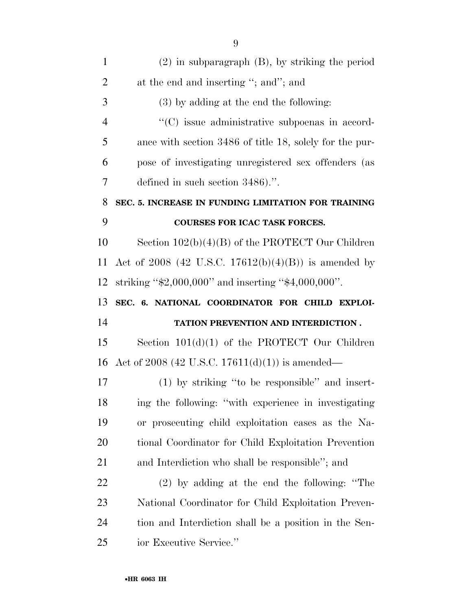| $\mathbf{1}$   | $(2)$ in subparagraph $(B)$ , by striking the period     |
|----------------|----------------------------------------------------------|
| $\overline{2}$ | at the end and inserting "; and"; and                    |
| 3              | $(3)$ by adding at the end the following:                |
| $\overline{4}$ | "(C) issue administrative subpoenas in accord-           |
| 5              | ance with section 3486 of title 18, solely for the pur-  |
| 6              | pose of investigating unregistered sex offenders (as     |
| 7              | defined in such section $3486$ .".                       |
| 8              | SEC. 5. INCREASE IN FUNDING LIMITATION FOR TRAINING      |
| 9              | COURSES FOR ICAC TASK FORCES.                            |
| 10             | Section $102(b)(4)(B)$ of the PROTECT Our Children       |
| 11             | Act of 2008 (42 U.S.C. 17612(b)(4)(B)) is amended by     |
| 12             | striking " $$2,000,000"$ and inserting " $$4,000,000"$ . |
| 13             | SEC. 6. NATIONAL COORDINATOR FOR CHILD EXPLOI-           |
|                |                                                          |
| 14             | TATION PREVENTION AND INTERDICTION.                      |
| 15             | Section $101(d)(1)$ of the PROTECT Our Children          |
| 16             | Act of 2008 (42 U.S.C. 17611(d)(1)) is amended—          |
| 17             | (1) by striking "to be responsible" and insert-          |
| 18             | ing the following: "with experience in investigating     |
| 19             | or prosecuting child exploitation cases as the Na-       |
| 20             | tional Coordinator for Child Exploitation Prevention     |
| 21             | and Interdiction who shall be responsible"; and          |
| 22             | $(2)$ by adding at the end the following: "The           |
| 23             | National Coordinator for Child Exploitation Preven-      |
| 24             | tion and Interdiction shall be a position in the Sen-    |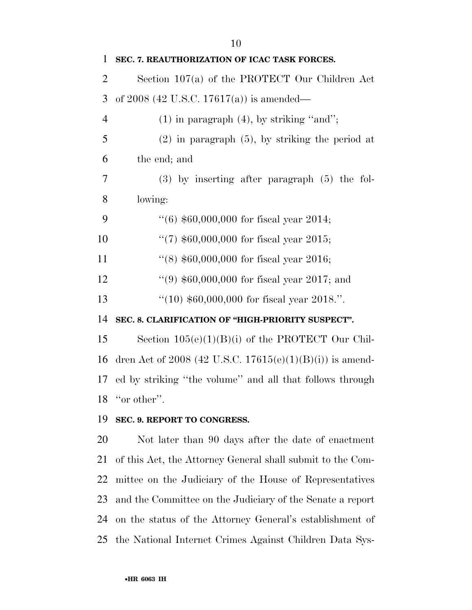| $\mathbf{1}$   | SEC. 7. REAUTHORIZATION OF ICAC TASK FORCES.             |
|----------------|----------------------------------------------------------|
| $\overline{2}$ | Section $107(a)$ of the PROTECT Our Children Act         |
| 3              | of 2008 (42 U.S.C. 17617(a)) is amended—                 |
| $\overline{4}$ | $(1)$ in paragraph $(4)$ , by striking "and";            |
| 5              | $(2)$ in paragraph $(5)$ , by striking the period at     |
| 6              | the end; and                                             |
| 7              | $(3)$ by inserting after paragraph $(5)$ the fol-        |
| 8              | lowing:                                                  |
| 9              | $(6)$ \$60,000,000 for fiscal year 2014;                 |
| 10             | "(7) $$60,000,000$ for fiscal year 2015;                 |
| 11             | $(8)$ \$60,000,000 for fiscal year 2016;                 |
| 12             | $(9)$ \$60,000,000 for fiscal year 2017; and             |
| 13             | $(10)$ \$60,000,000 for fiscal year 2018.".              |
| 14             | SEC. 8. CLARIFICATION OF "HIGH-PRIORITY SUSPECT".        |
| 15             | Section $105(e)(1)(B)(i)$ of the PROTECT Our Chil-       |
| 16             | dren Act of 2008 (42 U.S.C. 17615(e)(1)(B)(i)) is amend- |
| 17             | ed by striking "the volume" and all that follows through |
| 18             | "or other".                                              |
| 19             | SEC. 9. REPORT TO CONGRESS.                              |

 Not later than 90 days after the date of enactment of this Act, the Attorney General shall submit to the Com- mittee on the Judiciary of the House of Representatives and the Committee on the Judiciary of the Senate a report on the status of the Attorney General's establishment of the National Internet Crimes Against Children Data Sys